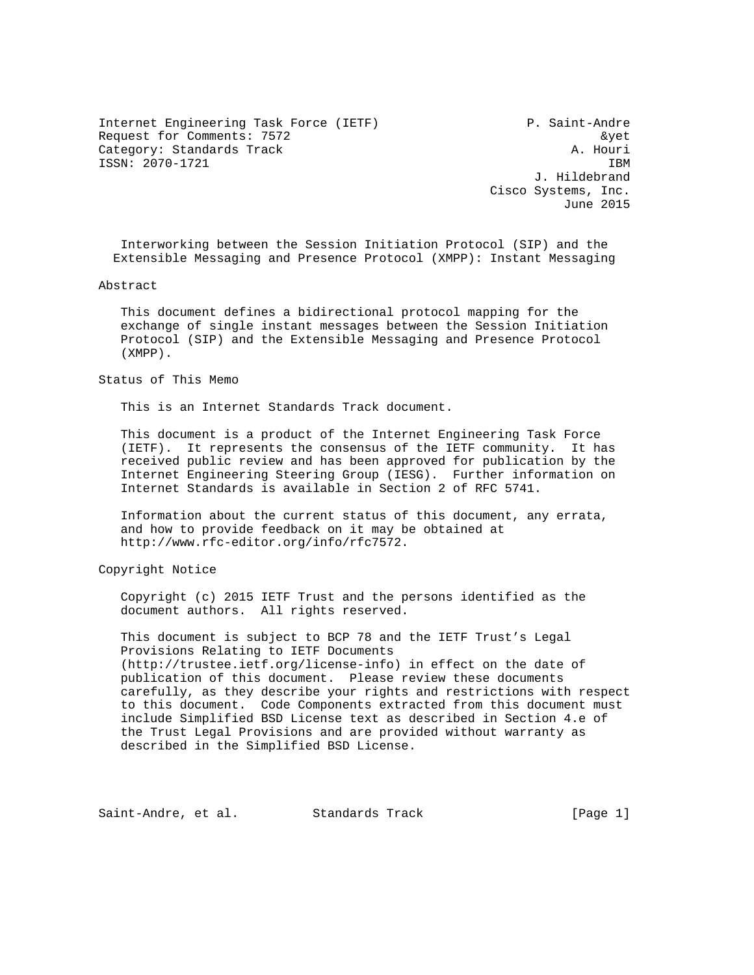Internet Engineering Task Force (IETF) P. Saint-Andre Request for Comments: 7572 and 2008 and 2008 and 2008 and 2008 and 2008 and 2008 and 2008 and 2008 and 2008 and 2008 and 2008 and 2008 and 2008 and 2008 and 2008 and 2008 and 2008 and 2008 and 2008 and 2008 and 2008 and 20 Category: Standards Track A. Houri ISSN: 2070-1721 IBM

 J. Hildebrand Cisco Systems, Inc. June 2015

 Interworking between the Session Initiation Protocol (SIP) and the Extensible Messaging and Presence Protocol (XMPP): Instant Messaging

Abstract

 This document defines a bidirectional protocol mapping for the exchange of single instant messages between the Session Initiation Protocol (SIP) and the Extensible Messaging and Presence Protocol (XMPP).

#### Status of This Memo

This is an Internet Standards Track document.

 This document is a product of the Internet Engineering Task Force (IETF). It represents the consensus of the IETF community. It has received public review and has been approved for publication by the Internet Engineering Steering Group (IESG). Further information on Internet Standards is available in Section 2 of RFC 5741.

 Information about the current status of this document, any errata, and how to provide feedback on it may be obtained at http://www.rfc-editor.org/info/rfc7572.

Copyright Notice

 Copyright (c) 2015 IETF Trust and the persons identified as the document authors. All rights reserved.

 This document is subject to BCP 78 and the IETF Trust's Legal Provisions Relating to IETF Documents (http://trustee.ietf.org/license-info) in effect on the date of publication of this document. Please review these documents carefully, as they describe your rights and restrictions with respect to this document. Code Components extracted from this document must include Simplified BSD License text as described in Section 4.e of the Trust Legal Provisions and are provided without warranty as described in the Simplified BSD License.

Saint-Andre, et al. Standards Track [Page 1]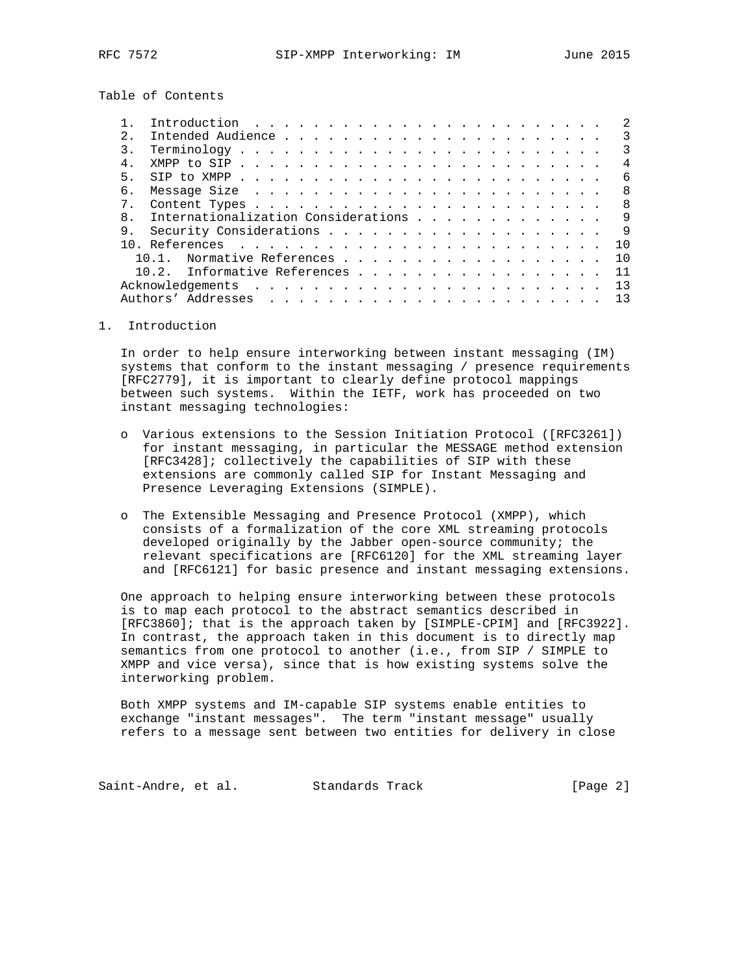Table of Contents

| $\mathcal{D}$ |                                                                              |  |  |  |  |  |  |  |  |  |  |  | २              |
|---------------|------------------------------------------------------------------------------|--|--|--|--|--|--|--|--|--|--|--|----------------|
| $\mathcal{L}$ | $Terminology \ldots \ldots \ldots \ldots \ldots \ldots \ldots \ldots \ldots$ |  |  |  |  |  |  |  |  |  |  |  | $\mathcal{R}$  |
| $4$ .         |                                                                              |  |  |  |  |  |  |  |  |  |  |  | $\overline{4}$ |
| 5             |                                                                              |  |  |  |  |  |  |  |  |  |  |  | 6              |
| б.            |                                                                              |  |  |  |  |  |  |  |  |  |  |  | 8              |
|               |                                                                              |  |  |  |  |  |  |  |  |  |  |  | R.             |
| $\mathsf{R}$  | Internationalization Considerations                                          |  |  |  |  |  |  |  |  |  |  |  | 9              |
| 9.            |                                                                              |  |  |  |  |  |  |  |  |  |  |  | 9              |
|               |                                                                              |  |  |  |  |  |  |  |  |  |  |  | 1 O            |
|               | Normative References                                                         |  |  |  |  |  |  |  |  |  |  |  | 1 O            |
|               | 10.2. Informative References                                                 |  |  |  |  |  |  |  |  |  |  |  | 11             |
|               |                                                                              |  |  |  |  |  |  |  |  |  |  |  | 13             |
|               |                                                                              |  |  |  |  |  |  |  |  |  |  |  | 13             |
|               |                                                                              |  |  |  |  |  |  |  |  |  |  |  |                |

## 1. Introduction

 In order to help ensure interworking between instant messaging (IM) systems that conform to the instant messaging / presence requirements [RFC2779], it is important to clearly define protocol mappings between such systems. Within the IETF, work has proceeded on two instant messaging technologies:

- o Various extensions to the Session Initiation Protocol ([RFC3261]) for instant messaging, in particular the MESSAGE method extension [RFC3428]; collectively the capabilities of SIP with these extensions are commonly called SIP for Instant Messaging and Presence Leveraging Extensions (SIMPLE).
- o The Extensible Messaging and Presence Protocol (XMPP), which consists of a formalization of the core XML streaming protocols developed originally by the Jabber open-source community; the relevant specifications are [RFC6120] for the XML streaming layer and [RFC6121] for basic presence and instant messaging extensions.

 One approach to helping ensure interworking between these protocols is to map each protocol to the abstract semantics described in [RFC3860]; that is the approach taken by [SIMPLE-CPIM] and [RFC3922]. In contrast, the approach taken in this document is to directly map semantics from one protocol to another (i.e., from SIP / SIMPLE to XMPP and vice versa), since that is how existing systems solve the interworking problem.

 Both XMPP systems and IM-capable SIP systems enable entities to exchange "instant messages". The term "instant message" usually refers to a message sent between two entities for delivery in close

Saint-Andre, et al. Standards Track [Page 2]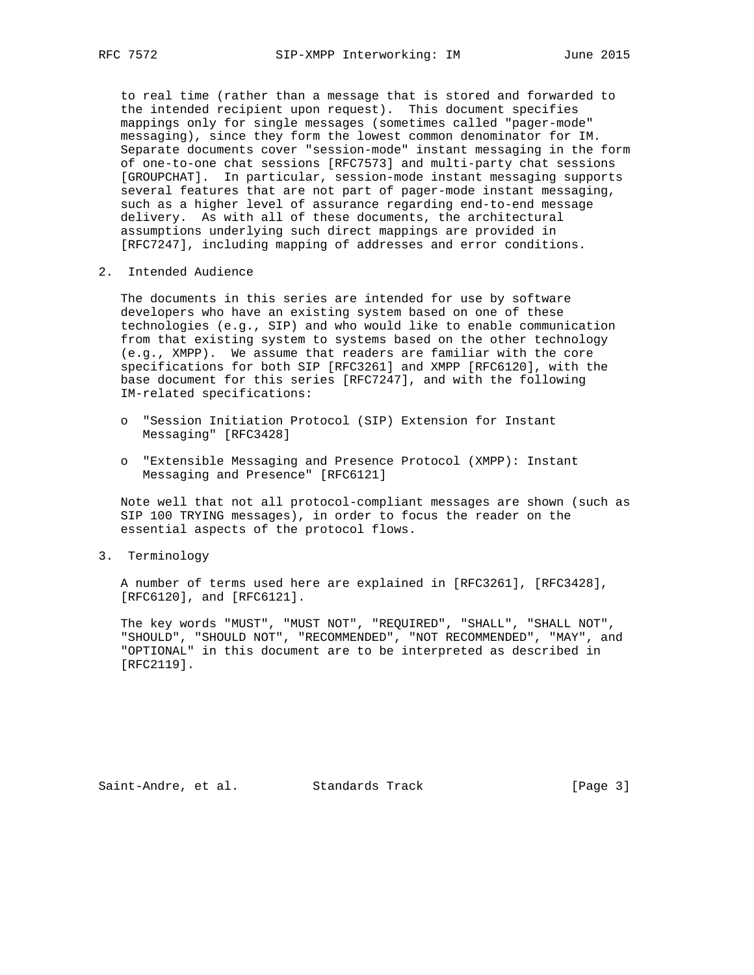to real time (rather than a message that is stored and forwarded to the intended recipient upon request). This document specifies mappings only for single messages (sometimes called "pager-mode" messaging), since they form the lowest common denominator for IM. Separate documents cover "session-mode" instant messaging in the form of one-to-one chat sessions [RFC7573] and multi-party chat sessions [GROUPCHAT]. In particular, session-mode instant messaging supports several features that are not part of pager-mode instant messaging, such as a higher level of assurance regarding end-to-end message delivery. As with all of these documents, the architectural assumptions underlying such direct mappings are provided in [RFC7247], including mapping of addresses and error conditions.

2. Intended Audience

 The documents in this series are intended for use by software developers who have an existing system based on one of these technologies (e.g., SIP) and who would like to enable communication from that existing system to systems based on the other technology (e.g., XMPP). We assume that readers are familiar with the core specifications for both SIP [RFC3261] and XMPP [RFC6120], with the base document for this series [RFC7247], and with the following IM-related specifications:

- o "Session Initiation Protocol (SIP) Extension for Instant Messaging" [RFC3428]
- o "Extensible Messaging and Presence Protocol (XMPP): Instant Messaging and Presence" [RFC6121]

 Note well that not all protocol-compliant messages are shown (such as SIP 100 TRYING messages), in order to focus the reader on the essential aspects of the protocol flows.

3. Terminology

 A number of terms used here are explained in [RFC3261], [RFC3428], [RFC6120], and [RFC6121].

 The key words "MUST", "MUST NOT", "REQUIRED", "SHALL", "SHALL NOT", "SHOULD", "SHOULD NOT", "RECOMMENDED", "NOT RECOMMENDED", "MAY", and "OPTIONAL" in this document are to be interpreted as described in [RFC2119].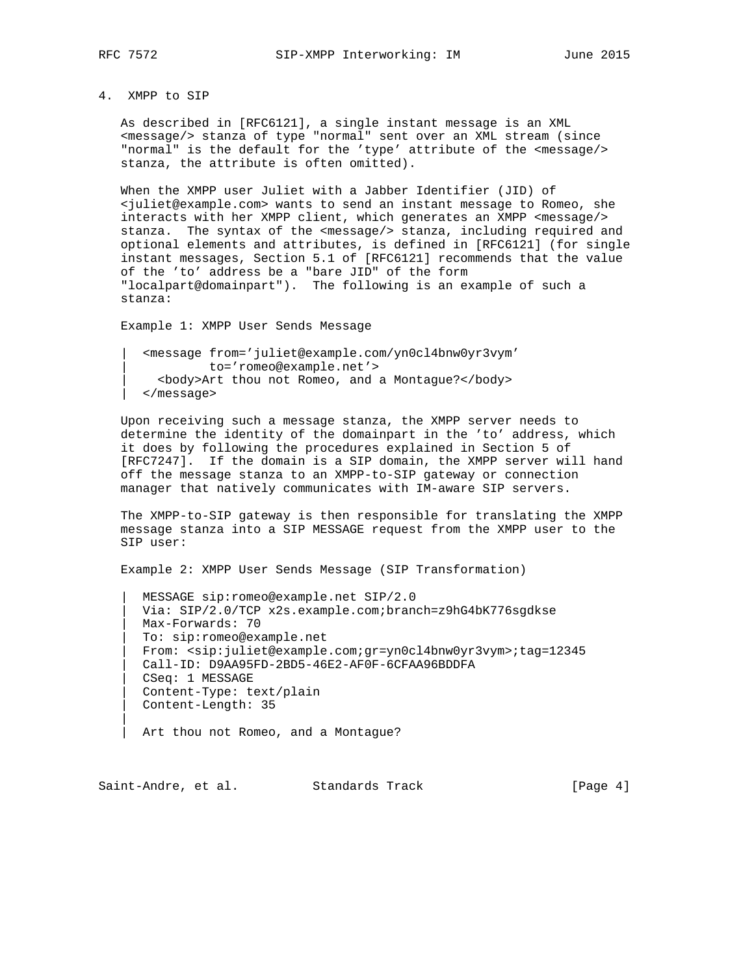|| || ||

## 4. XMPP to SIP

 As described in [RFC6121], a single instant message is an XML <message/> stanza of type "normal" sent over an XML stream (since "normal" is the default for the 'type' attribute of the <message/> stanza, the attribute is often omitted).

 When the XMPP user Juliet with a Jabber Identifier (JID) of <juliet@example.com> wants to send an instant message to Romeo, she interacts with her XMPP client, which generates an XMPP <message/> stanza. The syntax of the <message/> stanza, including required and optional elements and attributes, is defined in [RFC6121] (for single instant messages, Section 5.1 of [RFC6121] recommends that the value of the 'to' address be a "bare JID" of the form "localpart@domainpart"). The following is an example of such a stanza:

Example 1: XMPP User Sends Message

 | <message from='juliet@example.com/yn0cl4bnw0yr3vym' | to='romeo@example.net'> | <body>Art thou not Romeo, and a Montague?</body> | </message>

 Upon receiving such a message stanza, the XMPP server needs to determine the identity of the domainpart in the 'to' address, which it does by following the procedures explained in Section 5 of [RFC7247]. If the domain is a SIP domain, the XMPP server will hand off the message stanza to an XMPP-to-SIP gateway or connection manager that natively communicates with IM-aware SIP servers.

 The XMPP-to-SIP gateway is then responsible for translating the XMPP message stanza into a SIP MESSAGE request from the XMPP user to the SIP user:

Example 2: XMPP User Sends Message (SIP Transformation)

 | MESSAGE sip:romeo@example.net SIP/2.0 | Via: SIP/2.0/TCP x2s.example.com;branch=z9hG4bK776sgdkse | Max-Forwards: 70 | To: sip:romeo@example.net | From: <sip:juliet@example.com;gr=yn0cl4bnw0yr3vym>;tag=12345 | Call-ID: D9AA95FD-2BD5-46E2-AF0F-6CFAA96BDDFA | CSeq: 1 MESSAGE | Content-Type: text/plain | Content-Length: 35

Art thou not Romeo, and a Montague?

Saint-Andre, et al. Standards Track [Page 4]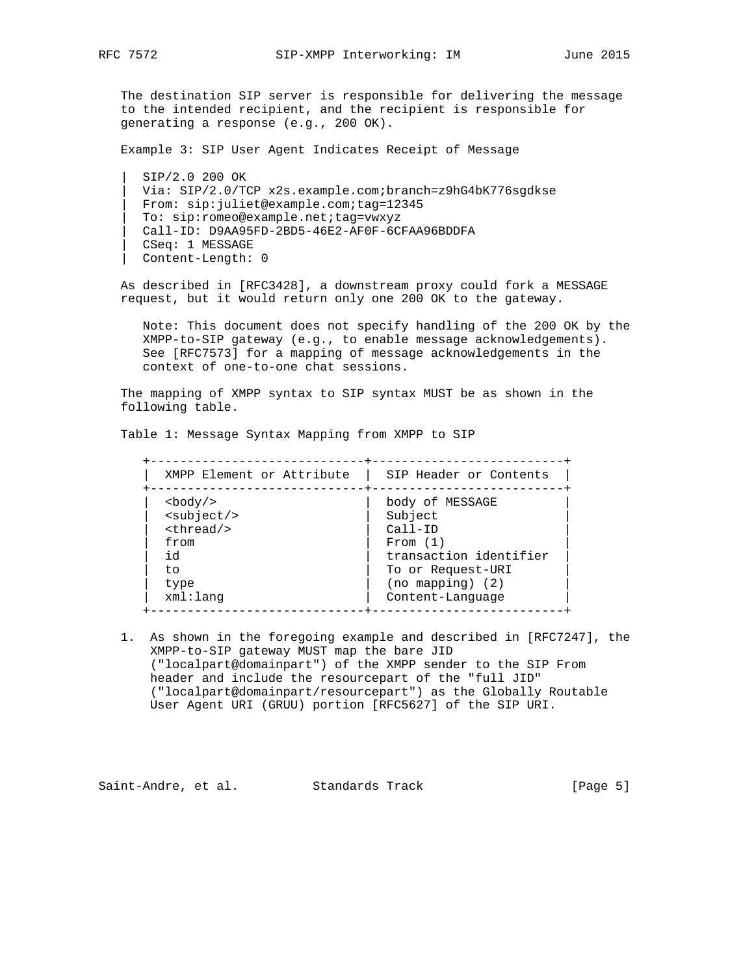The destination SIP server is responsible for delivering the message to the intended recipient, and the recipient is responsible for generating a response (e.g., 200 OK).

Example 3: SIP User Agent Indicates Receipt of Message

 | SIP/2.0 200 OK | Via: SIP/2.0/TCP x2s.example.com;branch=z9hG4bK776sgdkse | From: sip:juliet@example.com;tag=12345 | To: sip:romeo@example.net;tag=vwxyz | Call-ID: D9AA95FD-2BD5-46E2-AF0F-6CFAA96BDDFA | CSeq: 1 MESSAGE | Content-Length: 0

 As described in [RFC3428], a downstream proxy could fork a MESSAGE request, but it would return only one 200 OK to the gateway.

 Note: This document does not specify handling of the 200 OK by the XMPP-to-SIP gateway (e.g., to enable message acknowledgements). See [RFC7573] for a mapping of message acknowledgements in the context of one-to-one chat sessions.

 The mapping of XMPP syntax to SIP syntax MUST be as shown in the following table.

Table 1: Message Syntax Mapping from XMPP to SIP

 +-----------------------------+--------------------------+ | XMPP Element or Attribute | SIP Header or Contents | +-----------------------------+--------------------------+ | body of MESSAGE<br>| Subject<br>| Call-ID <subject/>  $\n$ from  $|$  From (1) | id | transaction identifier | | to | To or Request-URI | | type  $|$  (no mapping) (2) | | xml:lang | Content-Language +-----------------------------+--------------------------+

 1. As shown in the foregoing example and described in [RFC7247], the XMPP-to-SIP gateway MUST map the bare JID ("localpart@domainpart") of the XMPP sender to the SIP From header and include the resourcepart of the "full JID" ("localpart@domainpart/resourcepart") as the Globally Routable User Agent URI (GRUU) portion [RFC5627] of the SIP URI.

Saint-Andre, et al. Standards Track [Page 5]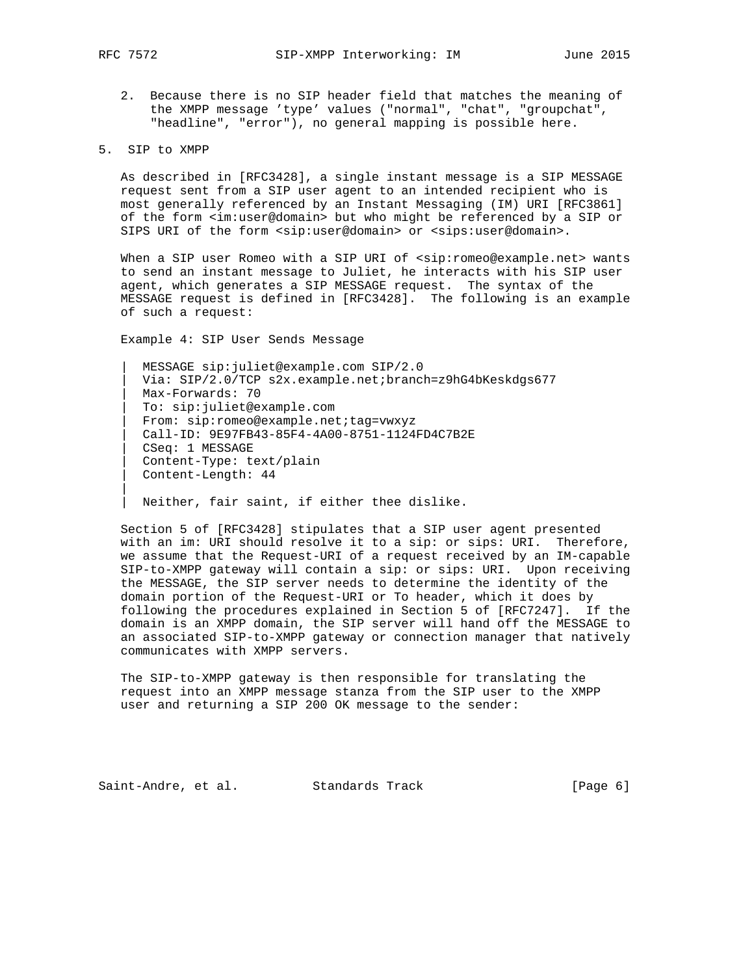||

 2. Because there is no SIP header field that matches the meaning of the XMPP message 'type' values ("normal", "chat", "groupchat", "headline", "error"), no general mapping is possible here.

### 5. SIP to XMPP

 As described in [RFC3428], a single instant message is a SIP MESSAGE request sent from a SIP user agent to an intended recipient who is most generally referenced by an Instant Messaging (IM) URI [RFC3861] of the form <im:user@domain> but who might be referenced by a SIP or SIPS URI of the form <sip:user@domain> or <sips:user@domain>.

When a SIP user Romeo with a SIP URI of <sip:romeo@example.net> wants to send an instant message to Juliet, he interacts with his SIP user agent, which generates a SIP MESSAGE request. The syntax of the MESSAGE request is defined in [RFC3428]. The following is an example of such a request:

Example 4: SIP User Sends Message

 | MESSAGE sip:juliet@example.com SIP/2.0 Via: SIP/2.0/TCP s2x.example.net;branch=z9hG4bKeskdgs677 | Max-Forwards: 70 | To: sip:juliet@example.com | From: sip:romeo@example.net;tag=vwxyz | Call-ID: 9E97FB43-85F4-4A00-8751-1124FD4C7B2E | CSeq: 1 MESSAGE | Content-Type: text/plain | Content-Length: 44

Neither, fair saint, if either thee dislike.

 Section 5 of [RFC3428] stipulates that a SIP user agent presented with an im: URI should resolve it to a sip: or sips: URI. Therefore, we assume that the Request-URI of a request received by an IM-capable SIP-to-XMPP gateway will contain a sip: or sips: URI. Upon receiving the MESSAGE, the SIP server needs to determine the identity of the domain portion of the Request-URI or To header, which it does by following the procedures explained in Section 5 of [RFC7247]. If the domain is an XMPP domain, the SIP server will hand off the MESSAGE to an associated SIP-to-XMPP gateway or connection manager that natively communicates with XMPP servers.

 The SIP-to-XMPP gateway is then responsible for translating the request into an XMPP message stanza from the SIP user to the XMPP user and returning a SIP 200 OK message to the sender:

Saint-Andre, et al. Standards Track [Page 6]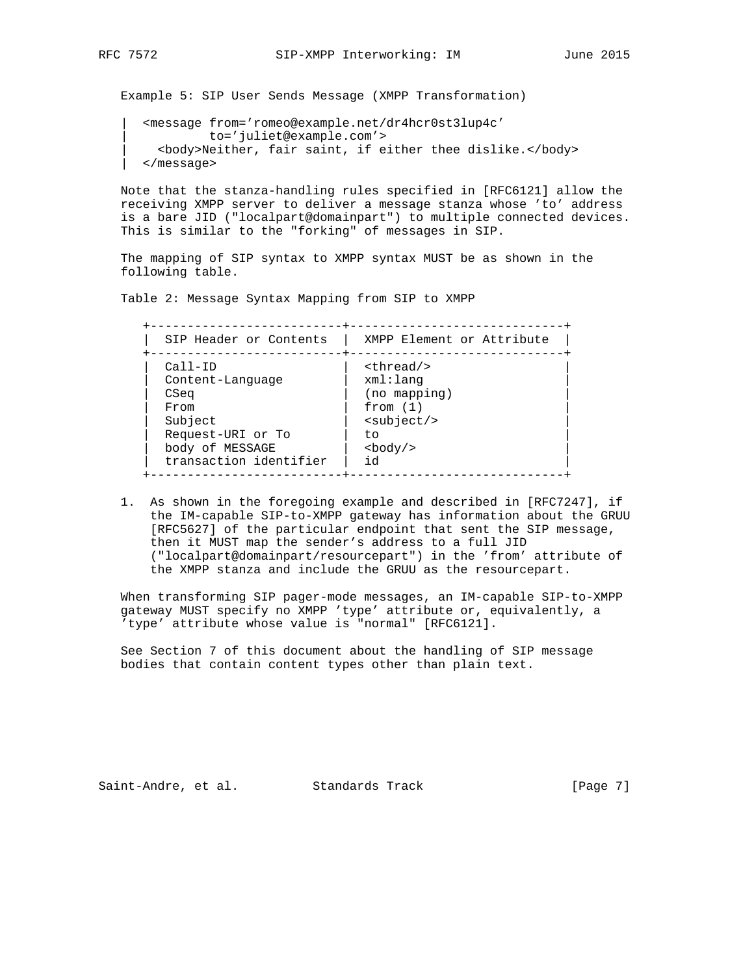Example 5: SIP User Sends Message (XMPP Transformation)

 | <message from='romeo@example.net/dr4hcr0st3lup4c' | to='juliet@example.com'> | <body>Neither, fair saint, if either thee dislike.</body> | </message>

 Note that the stanza-handling rules specified in [RFC6121] allow the receiving XMPP server to deliver a message stanza whose 'to' address is a bare JID ("localpart@domainpart") to multiple connected devices. This is similar to the "forking" of messages in SIP.

 The mapping of SIP syntax to XMPP syntax MUST be as shown in the following table.

Table 2: Message Syntax Mapping from SIP to XMPP

 +--------------------------+-----------------------------+ | SIP Header or Contents | XMPP Element or Attribute | +--------------------------+-----------------------------+ | Call-ID | <thread/> | | Content-Language | xml:lang | | CSeq | (no mapping) | | From  $\vert$  from (1)  $\vert$  | Subject | <subject/> | | Request-URI or To | to | | body of MESSAGE | <body/> |  $transaction\ identifier\ \dagger\ id$ +--------------------------+-----------------------------+

 1. As shown in the foregoing example and described in [RFC7247], if the IM-capable SIP-to-XMPP gateway has information about the GRUU [RFC5627] of the particular endpoint that sent the SIP message, then it MUST map the sender's address to a full JID ("localpart@domainpart/resourcepart") in the 'from' attribute of the XMPP stanza and include the GRUU as the resourcepart.

 When transforming SIP pager-mode messages, an IM-capable SIP-to-XMPP gateway MUST specify no XMPP 'type' attribute or, equivalently, a 'type' attribute whose value is "normal" [RFC6121].

 See Section 7 of this document about the handling of SIP message bodies that contain content types other than plain text.

Saint-Andre, et al. Standards Track [Page 7]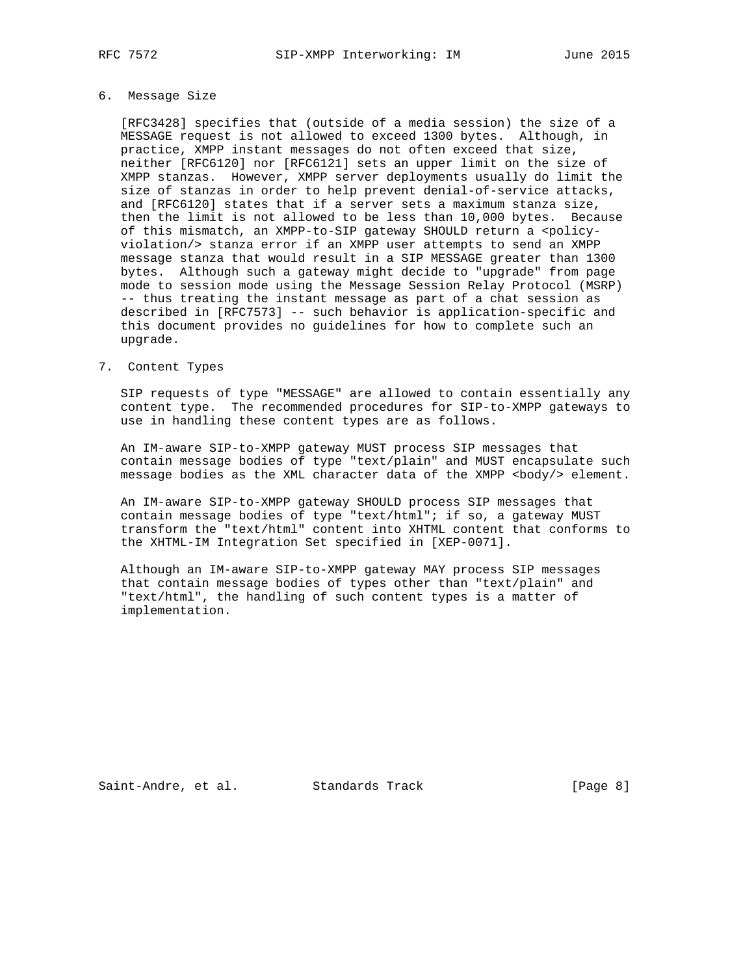# 6. Message Size

 [RFC3428] specifies that (outside of a media session) the size of a MESSAGE request is not allowed to exceed 1300 bytes. Although, in practice, XMPP instant messages do not often exceed that size, neither [RFC6120] nor [RFC6121] sets an upper limit on the size of XMPP stanzas. However, XMPP server deployments usually do limit the size of stanzas in order to help prevent denial-of-service attacks, and [RFC6120] states that if a server sets a maximum stanza size, then the limit is not allowed to be less than 10,000 bytes. Because of this mismatch, an XMPP-to-SIP gateway SHOULD return a <policy violation/> stanza error if an XMPP user attempts to send an XMPP message stanza that would result in a SIP MESSAGE greater than 1300 bytes. Although such a gateway might decide to "upgrade" from page mode to session mode using the Message Session Relay Protocol (MSRP) -- thus treating the instant message as part of a chat session as described in [RFC7573] -- such behavior is application-specific and this document provides no guidelines for how to complete such an upgrade.

## 7. Content Types

 SIP requests of type "MESSAGE" are allowed to contain essentially any content type. The recommended procedures for SIP-to-XMPP gateways to use in handling these content types are as follows.

 An IM-aware SIP-to-XMPP gateway MUST process SIP messages that contain message bodies of type "text/plain" and MUST encapsulate such message bodies as the XML character data of the XMPP <br/>body/> element.

 An IM-aware SIP-to-XMPP gateway SHOULD process SIP messages that contain message bodies of type "text/html"; if so, a gateway MUST transform the "text/html" content into XHTML content that conforms to the XHTML-IM Integration Set specified in [XEP-0071].

 Although an IM-aware SIP-to-XMPP gateway MAY process SIP messages that contain message bodies of types other than "text/plain" and "text/html", the handling of such content types is a matter of implementation.

Saint-Andre, et al. Standards Track [Page 8]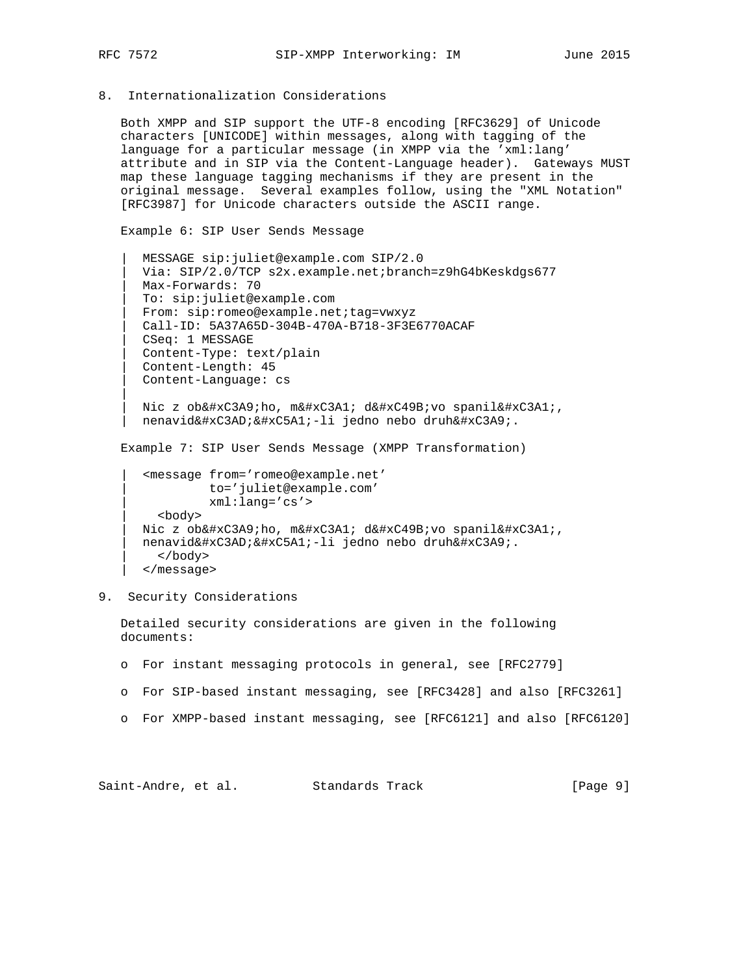|| || ||

8. Internationalization Considerations

 Both XMPP and SIP support the UTF-8 encoding [RFC3629] of Unicode characters [UNICODE] within messages, along with tagging of the language for a particular message (in XMPP via the 'xml:lang' attribute and in SIP via the Content-Language header). Gateways MUST map these language tagging mechanisms if they are present in the original message. Several examples follow, using the "XML Notation" [RFC3987] for Unicode characters outside the ASCII range.

Example 6: SIP User Sends Message

 | MESSAGE sip:juliet@example.com SIP/2.0 | Via: SIP/2.0/TCP s2x.example.net;branch=z9hG4bKeskdgs677 | Max-Forwards: 70 | To: sip:juliet@example.com | From: sip:romeo@example.net;tag=vwxyz | Call-ID: 5A37A65D-304B-470A-B718-3F3E6770ACAF | CSeq: 1 MESSAGE | Content-Type: text/plain | Content-Length: 45 | Content-Language: cs

Nic z ob쎩ho, m쎡 d쒛vo spanil쎡, nenavid쎭 얡 -li jedno nebo druh 쎩.

Example 7: SIP User Sends Message (XMPP Transformation)

```
 | <message from='romeo@example.net'
        | to='juliet@example.com'
        | xml:lang='cs'>
  | <body>
Nic z ob쎩ho, m쎡 d쒛vo spanil쎡,
nenavid쎭 얡 -li jedno nebo druh 쎩.
  | </body>
 | </message>
```
9. Security Considerations

 Detailed security considerations are given in the following documents:

- o For instant messaging protocols in general, see [RFC2779]
- o For SIP-based instant messaging, see [RFC3428] and also [RFC3261]
- o For XMPP-based instant messaging, see [RFC6121] and also [RFC6120]

Saint-Andre, et al. Standards Track [Page 9]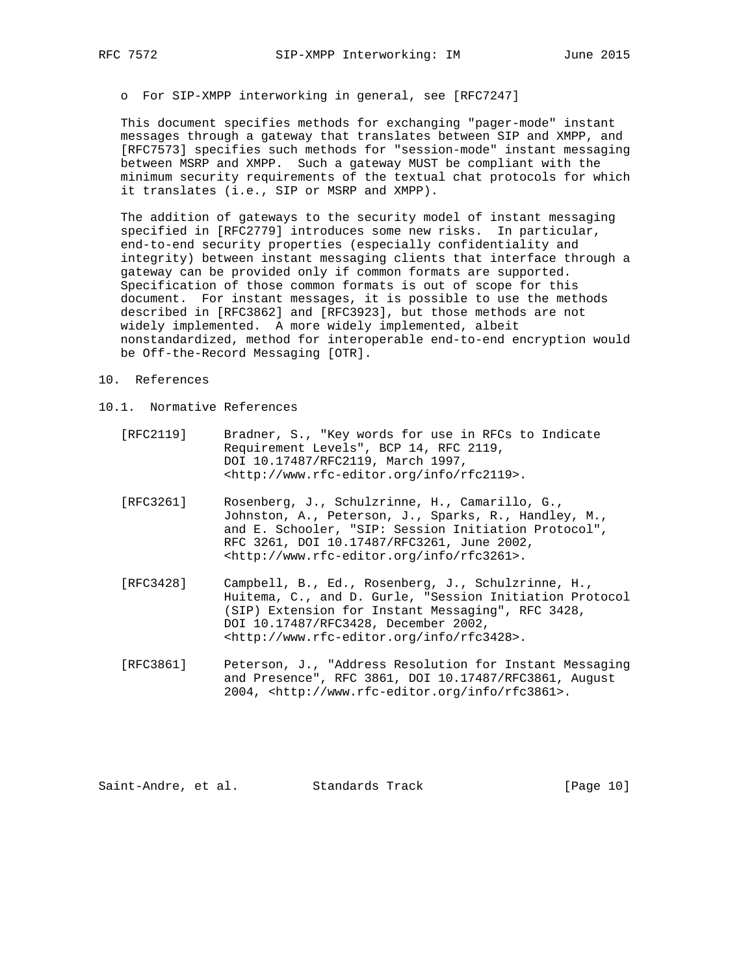o For SIP-XMPP interworking in general, see [RFC7247]

 This document specifies methods for exchanging "pager-mode" instant messages through a gateway that translates between SIP and XMPP, and [RFC7573] specifies such methods for "session-mode" instant messaging between MSRP and XMPP. Such a gateway MUST be compliant with the minimum security requirements of the textual chat protocols for which it translates (i.e., SIP or MSRP and XMPP).

 The addition of gateways to the security model of instant messaging specified in [RFC2779] introduces some new risks. In particular, end-to-end security properties (especially confidentiality and integrity) between instant messaging clients that interface through a gateway can be provided only if common formats are supported. Specification of those common formats is out of scope for this document. For instant messages, it is possible to use the methods described in [RFC3862] and [RFC3923], but those methods are not widely implemented. A more widely implemented, albeit nonstandardized, method for interoperable end-to-end encryption would be Off-the-Record Messaging [OTR].

- 10. References
- 10.1. Normative References
	- [RFC2119] Bradner, S., "Key words for use in RFCs to Indicate Requirement Levels", BCP 14, RFC 2119, DOI 10.17487/RFC2119, March 1997, <http://www.rfc-editor.org/info/rfc2119>.
	- [RFC3261] Rosenberg, J., Schulzrinne, H., Camarillo, G., Johnston, A., Peterson, J., Sparks, R., Handley, M., and E. Schooler, "SIP: Session Initiation Protocol", RFC 3261, DOI 10.17487/RFC3261, June 2002, <http://www.rfc-editor.org/info/rfc3261>.
	- [RFC3428] Campbell, B., Ed., Rosenberg, J., Schulzrinne, H., Huitema, C., and D. Gurle, "Session Initiation Protocol (SIP) Extension for Instant Messaging", RFC 3428, DOI 10.17487/RFC3428, December 2002, <http://www.rfc-editor.org/info/rfc3428>.
	- [RFC3861] Peterson, J., "Address Resolution for Instant Messaging and Presence", RFC 3861, DOI 10.17487/RFC3861, August 2004, <http://www.rfc-editor.org/info/rfc3861>.

Saint-Andre, et al. Standards Track [Page 10]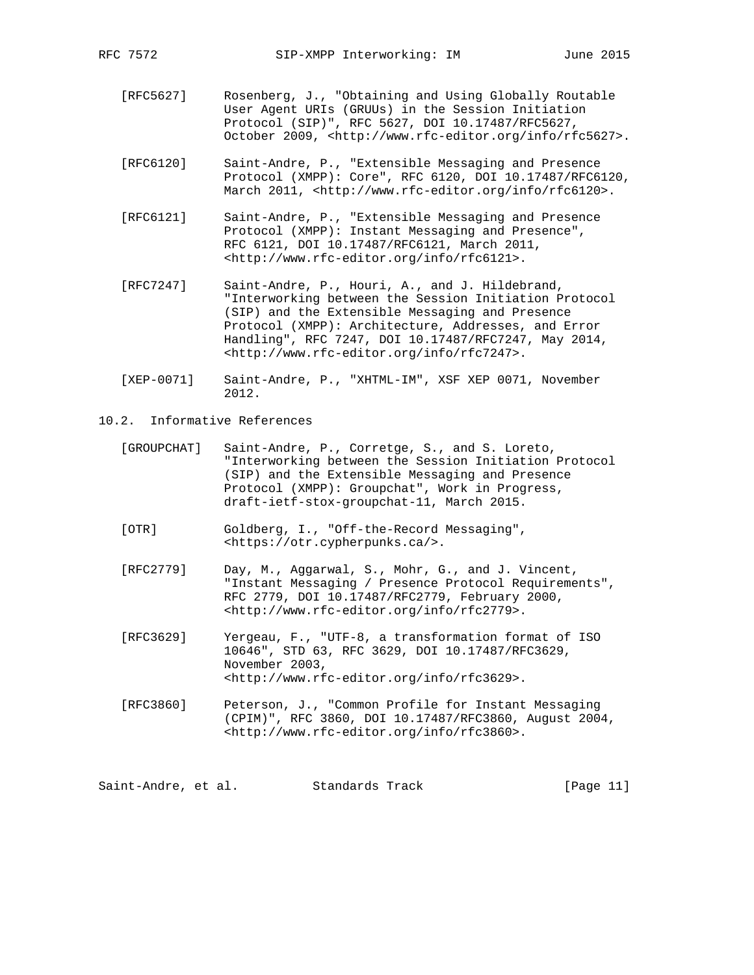- [RFC5627] Rosenberg, J., "Obtaining and Using Globally Routable User Agent URIs (GRUUs) in the Session Initiation Protocol (SIP)", RFC 5627, DOI 10.17487/RFC5627, October 2009, <http://www.rfc-editor.org/info/rfc5627>.
- [RFC6120] Saint-Andre, P., "Extensible Messaging and Presence Protocol (XMPP): Core", RFC 6120, DOI 10.17487/RFC6120, March 2011, <http://www.rfc-editor.org/info/rfc6120>.
- [RFC6121] Saint-Andre, P., "Extensible Messaging and Presence Protocol (XMPP): Instant Messaging and Presence", RFC 6121, DOI 10.17487/RFC6121, March 2011, <http://www.rfc-editor.org/info/rfc6121>.
- [RFC7247] Saint-Andre, P., Houri, A., and J. Hildebrand, "Interworking between the Session Initiation Protocol (SIP) and the Extensible Messaging and Presence Protocol (XMPP): Architecture, Addresses, and Error Handling", RFC 7247, DOI 10.17487/RFC7247, May 2014, <http://www.rfc-editor.org/info/rfc7247>.
- [XEP-0071] Saint-Andre, P., "XHTML-IM", XSF XEP 0071, November 2012.
- 10.2. Informative References
	- [GROUPCHAT] Saint-Andre, P., Corretge, S., and S. Loreto, "Interworking between the Session Initiation Protocol (SIP) and the Extensible Messaging and Presence Protocol (XMPP): Groupchat", Work in Progress, draft-ietf-stox-groupchat-11, March 2015.
	- [OTR] Goldberg, I., "Off-the-Record Messaging", <https://otr.cypherpunks.ca/>.
	- [RFC2779] Day, M., Aggarwal, S., Mohr, G., and J. Vincent, "Instant Messaging / Presence Protocol Requirements", RFC 2779, DOI 10.17487/RFC2779, February 2000, <http://www.rfc-editor.org/info/rfc2779>.
	- [RFC3629] Yergeau, F., "UTF-8, a transformation format of ISO 10646", STD 63, RFC 3629, DOI 10.17487/RFC3629, November 2003, <http://www.rfc-editor.org/info/rfc3629>.
	- [RFC3860] Peterson, J., "Common Profile for Instant Messaging (CPIM)", RFC 3860, DOI 10.17487/RFC3860, August 2004, <http://www.rfc-editor.org/info/rfc3860>.

Saint-Andre, et al. Standards Track [Page 11]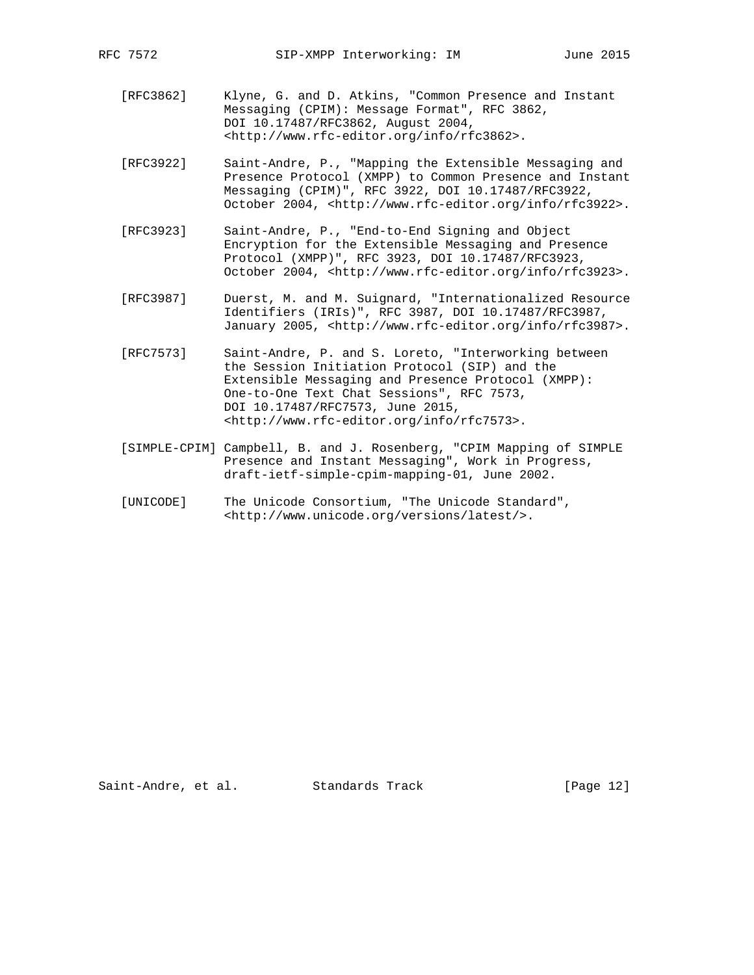- [RFC3862] Klyne, G. and D. Atkins, "Common Presence and Instant Messaging (CPIM): Message Format", RFC 3862, DOI 10.17487/RFC3862, August 2004, <http://www.rfc-editor.org/info/rfc3862>.
- [RFC3922] Saint-Andre, P., "Mapping the Extensible Messaging and Presence Protocol (XMPP) to Common Presence and Instant Messaging (CPIM)", RFC 3922, DOI 10.17487/RFC3922, October 2004, <http://www.rfc-editor.org/info/rfc3922>.
- [RFC3923] Saint-Andre, P., "End-to-End Signing and Object Encryption for the Extensible Messaging and Presence Protocol (XMPP)", RFC 3923, DOI 10.17487/RFC3923, October 2004, <http://www.rfc-editor.org/info/rfc3923>.
- [RFC3987] Duerst, M. and M. Suignard, "Internationalized Resource Identifiers (IRIs)", RFC 3987, DOI 10.17487/RFC3987, January 2005, <http://www.rfc-editor.org/info/rfc3987>.
- [RFC7573] Saint-Andre, P. and S. Loreto, "Interworking between the Session Initiation Protocol (SIP) and the Extensible Messaging and Presence Protocol (XMPP): One-to-One Text Chat Sessions", RFC 7573, DOI 10.17487/RFC7573, June 2015, <http://www.rfc-editor.org/info/rfc7573>.
- [SIMPLE-CPIM] Campbell, B. and J. Rosenberg, "CPIM Mapping of SIMPLE Presence and Instant Messaging", Work in Progress, draft-ietf-simple-cpim-mapping-01, June 2002.
- [UNICODE] The Unicode Consortium, "The Unicode Standard", <http://www.unicode.org/versions/latest/>.

Saint-Andre, et al. Standards Track [Page 12]